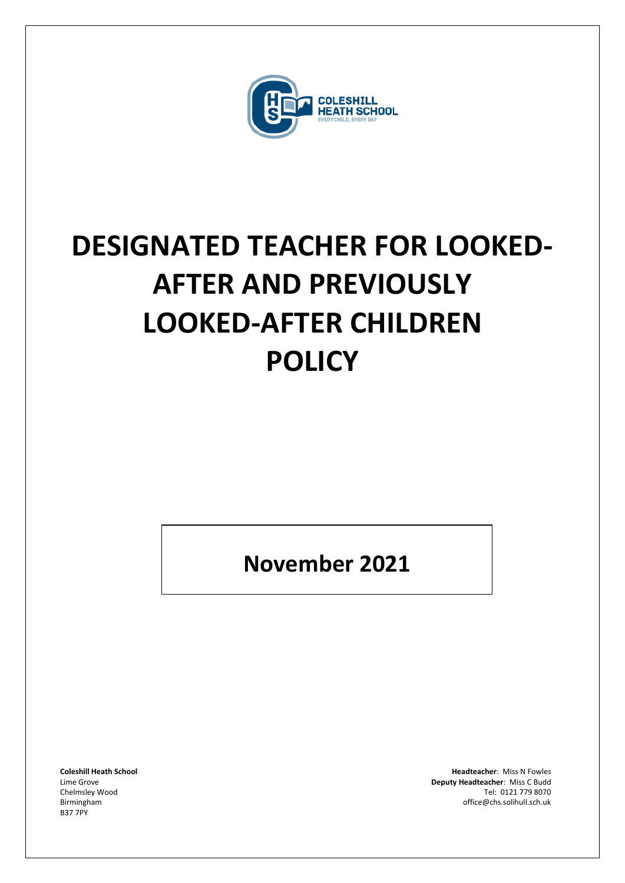

# **DESIGNATED TEACHER FOR LOOKED-AFTER AND PREVIOUSLY LOOKED-AFTER CHILDREN POLICY**

**November 2021**

B37 7PY

**Coleshill Heath School Headteacher**: Miss N Fowles Lime Grove **Deputy Headteacher**: Miss C Budd Tel: 0121 779 8070 Birmingham office@chs.solihull.sch.uk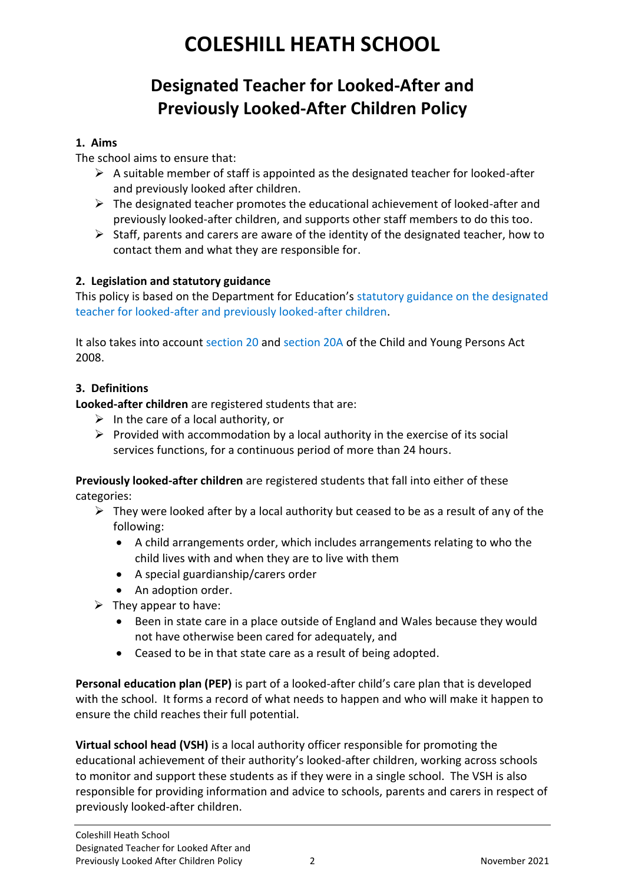## **COLESHILL HEATH SCHOOL**

### **Designated Teacher for Looked-After and Previously Looked-After Children Policy**

#### **1. Aims**

The school aims to ensure that:

- $\triangleright$  A suitable member of staff is appointed as the designated teacher for looked-after and previously looked after children.
- $\triangleright$  The designated teacher promotes the educational achievement of looked-after and previously looked-after children, and supports other staff members to do this too.
- $\triangleright$  Staff, parents and carers are aware of the identity of the designated teacher, how to contact them and what they are responsible for.

#### **2. Legislation and statutory guidance**

This policy is based on the Department for Education's statutory guidance on the designated teacher for looked-after and previously looked-after children.

It also takes into account section 20 and section 20A of the Child and Young Persons Act 2008.

#### **3. Definitions**

**Looked-after children** are registered students that are:

- $\triangleright$  In the care of a local authority, or
- $\triangleright$  Provided with accommodation by a local authority in the exercise of its social services functions, for a continuous period of more than 24 hours.

**Previously looked-after children** are registered students that fall into either of these categories:

- $\triangleright$  They were looked after by a local authority but ceased to be as a result of any of the following:
	- A child arrangements order, which includes arrangements relating to who the child lives with and when they are to live with them
	- A special guardianship/carers order
	- An adoption order.
- $\triangleright$  They appear to have:
	- Been in state care in a place outside of England and Wales because they would not have otherwise been cared for adequately, and
	- Ceased to be in that state care as a result of being adopted.

**Personal education plan (PEP)** is part of a looked-after child's care plan that is developed with the school. It forms a record of what needs to happen and who will make it happen to ensure the child reaches their full potential.

**Virtual school head (VSH)** is a local authority officer responsible for promoting the educational achievement of their authority's looked-after children, working across schools to monitor and support these students as if they were in a single school. The VSH is also responsible for providing information and advice to schools, parents and carers in respect of previously looked-after children.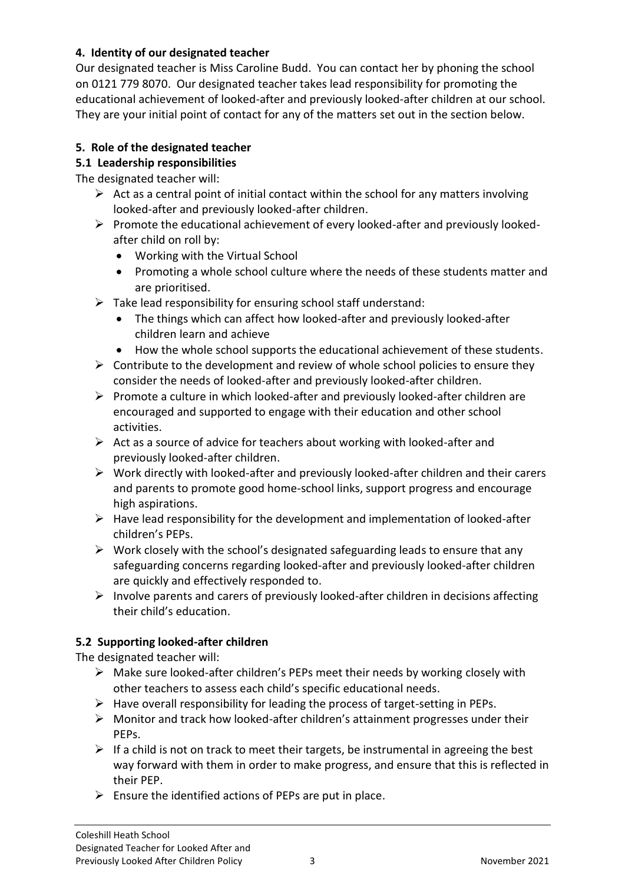#### **4. Identity of our designated teacher**

Our designated teacher is Miss Caroline Budd. You can contact her by phoning the school on 0121 779 8070. Our designated teacher takes lead responsibility for promoting the educational achievement of looked-after and previously looked-after children at our school. They are your initial point of contact for any of the matters set out in the section below.

#### **5. Role of the designated teacher**

#### **5.1 Leadership responsibilities**

The designated teacher will:

- $\triangleright$  Act as a central point of initial contact within the school for any matters involving looked-after and previously looked-after children.
- $\triangleright$  Promote the educational achievement of every looked-after and previously lookedafter child on roll by:
	- Working with the Virtual School
	- Promoting a whole school culture where the needs of these students matter and are prioritised.
- $\triangleright$  Take lead responsibility for ensuring school staff understand:
	- The things which can affect how looked-after and previously looked-after children learn and achieve
	- How the whole school supports the educational achievement of these students.
- $\triangleright$  Contribute to the development and review of whole school policies to ensure they consider the needs of looked-after and previously looked-after children.
- $\triangleright$  Promote a culture in which looked-after and previously looked-after children are encouraged and supported to engage with their education and other school activities.
- $\triangleright$  Act as a source of advice for teachers about working with looked-after and previously looked-after children.
- $\triangleright$  Work directly with looked-after and previously looked-after children and their carers and parents to promote good home-school links, support progress and encourage high aspirations.
- $\triangleright$  Have lead responsibility for the development and implementation of looked-after children's PEPs.
- ➢ Work closely with the school's designated safeguarding leads to ensure that any safeguarding concerns regarding looked-after and previously looked-after children are quickly and effectively responded to.
- ➢ Involve parents and carers of previously looked-after children in decisions affecting their child's education.

#### **5.2 Supporting looked-after children**

The designated teacher will:

- $\triangleright$  Make sure looked-after children's PEPs meet their needs by working closely with other teachers to assess each child's specific educational needs.
- $\triangleright$  Have overall responsibility for leading the process of target-setting in PEPs.
- $\triangleright$  Monitor and track how looked-after children's attainment progresses under their PEPs.
- $\triangleright$  If a child is not on track to meet their targets, be instrumental in agreeing the best way forward with them in order to make progress, and ensure that this is reflected in their PEP.
- $\triangleright$  Ensure the identified actions of PEPs are put in place.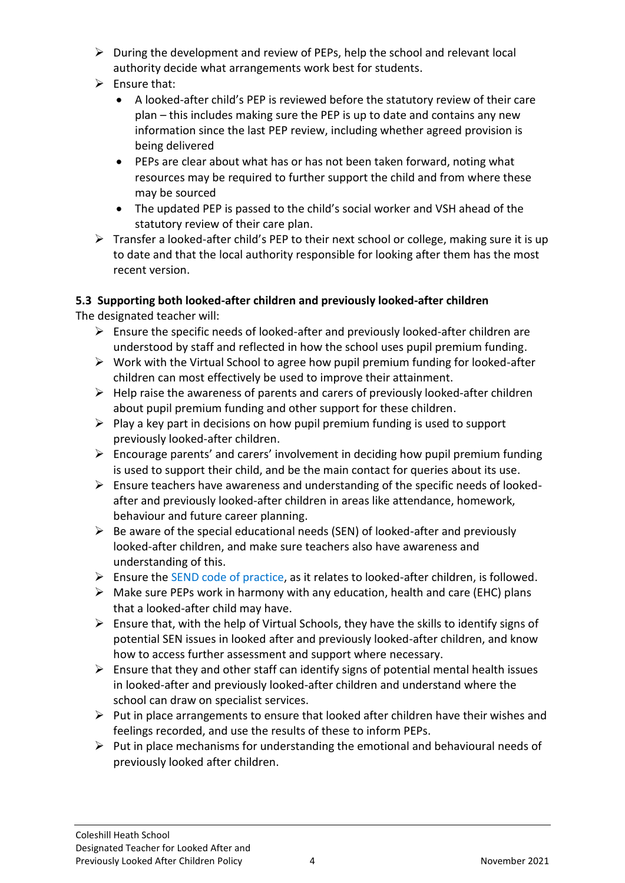- $\triangleright$  During the development and review of PEPs, help the school and relevant local authority decide what arrangements work best for students.
- $\triangleright$  Ensure that:
	- A looked-after child's PEP is reviewed before the statutory review of their care plan – this includes making sure the PEP is up to date and contains any new information since the last PEP review, including whether agreed provision is being delivered
	- PEPs are clear about what has or has not been taken forward, noting what resources may be required to further support the child and from where these may be sourced
	- The updated PEP is passed to the child's social worker and VSH ahead of the statutory review of their care plan.
- ➢ Transfer a looked-after child's PEP to their next school or college, making sure it is up to date and that the local authority responsible for looking after them has the most recent version.

#### **5.3 Supporting both looked-after children and previously looked-after children**

The designated teacher will:

- $\triangleright$  Ensure the specific needs of looked-after and previously looked-after children are understood by staff and reflected in how the school uses pupil premium funding.
- ➢ Work with the Virtual School to agree how pupil premium funding for looked-after children can most effectively be used to improve their attainment.
- $\triangleright$  Help raise the awareness of parents and carers of previously looked-after children about pupil premium funding and other support for these children.
- $\triangleright$  Play a key part in decisions on how pupil premium funding is used to support previously looked-after children.
- $\triangleright$  Encourage parents' and carers' involvement in deciding how pupil premium funding is used to support their child, and be the main contact for queries about its use.
- $\triangleright$  Ensure teachers have awareness and understanding of the specific needs of lookedafter and previously looked-after children in areas like attendance, homework, behaviour and future career planning.
- $\triangleright$  Be aware of the special educational needs (SEN) of looked-after and previously looked-after children, and make sure teachers also have awareness and understanding of this.
- ➢ Ensure the SEND code of practice, as it relates to looked-after children, is followed.
- $\triangleright$  Make sure PEPs work in harmony with any education, health and care (EHC) plans that a looked-after child may have.
- $\triangleright$  Ensure that, with the help of Virtual Schools, they have the skills to identify signs of potential SEN issues in looked after and previously looked-after children, and know how to access further assessment and support where necessary.
- $\triangleright$  Ensure that they and other staff can identify signs of potential mental health issues in looked-after and previously looked-after children and understand where the school can draw on specialist services.
- $\triangleright$  Put in place arrangements to ensure that looked after children have their wishes and feelings recorded, and use the results of these to inform PEPs.
- $\triangleright$  Put in place mechanisms for understanding the emotional and behavioural needs of previously looked after children.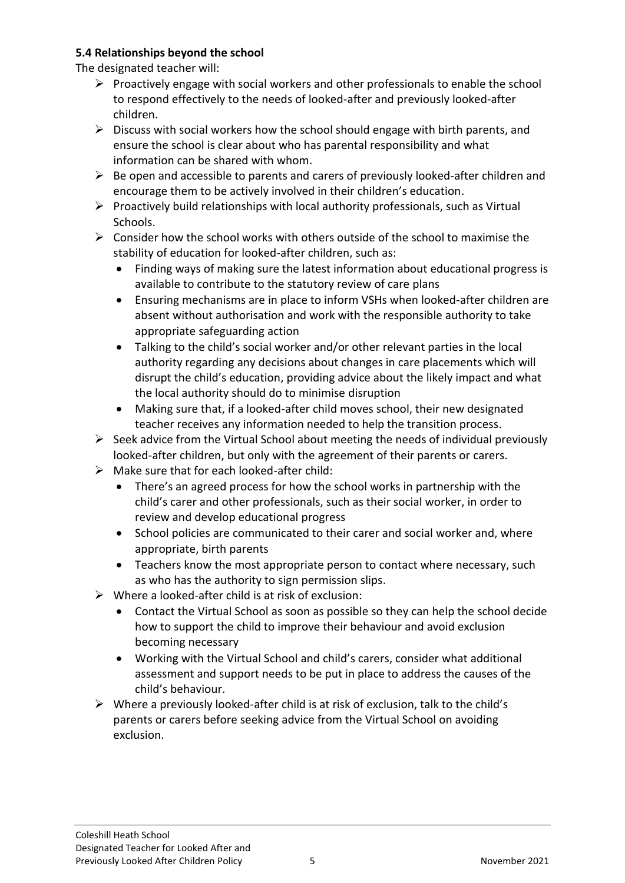#### **5.4 Relationships beyond the school**

The designated teacher will:

- $\triangleright$  Proactively engage with social workers and other professionals to enable the school to respond effectively to the needs of looked-after and previously looked-after children.
- $\triangleright$  Discuss with social workers how the school should engage with birth parents, and ensure the school is clear about who has parental responsibility and what information can be shared with whom.
- $\triangleright$  Be open and accessible to parents and carers of previously looked-after children and encourage them to be actively involved in their children's education.
- $\triangleright$  Proactively build relationships with local authority professionals, such as Virtual Schools.
- $\geq$  Consider how the school works with others outside of the school to maximise the stability of education for looked-after children, such as:
	- Finding ways of making sure the latest information about educational progress is available to contribute to the statutory review of care plans
	- Ensuring mechanisms are in place to inform VSHs when looked-after children are absent without authorisation and work with the responsible authority to take appropriate safeguarding action
	- Talking to the child's social worker and/or other relevant parties in the local authority regarding any decisions about changes in care placements which will disrupt the child's education, providing advice about the likely impact and what the local authority should do to minimise disruption
	- Making sure that, if a looked-after child moves school, their new designated teacher receives any information needed to help the transition process.
- $\triangleright$  Seek advice from the Virtual School about meeting the needs of individual previously looked-after children, but only with the agreement of their parents or carers.
- $\triangleright$  Make sure that for each looked-after child:
	- There's an agreed process for how the school works in partnership with the child's carer and other professionals, such as their social worker, in order to review and develop educational progress
	- School policies are communicated to their carer and social worker and, where appropriate, birth parents
	- Teachers know the most appropriate person to contact where necessary, such as who has the authority to sign permission slips.
- $\triangleright$  Where a looked-after child is at risk of exclusion:
	- Contact the Virtual School as soon as possible so they can help the school decide how to support the child to improve their behaviour and avoid exclusion becoming necessary
	- Working with the Virtual School and child's carers, consider what additional assessment and support needs to be put in place to address the causes of the child's behaviour.
- $\triangleright$  Where a previously looked-after child is at risk of exclusion, talk to the child's parents or carers before seeking advice from the Virtual School on avoiding exclusion.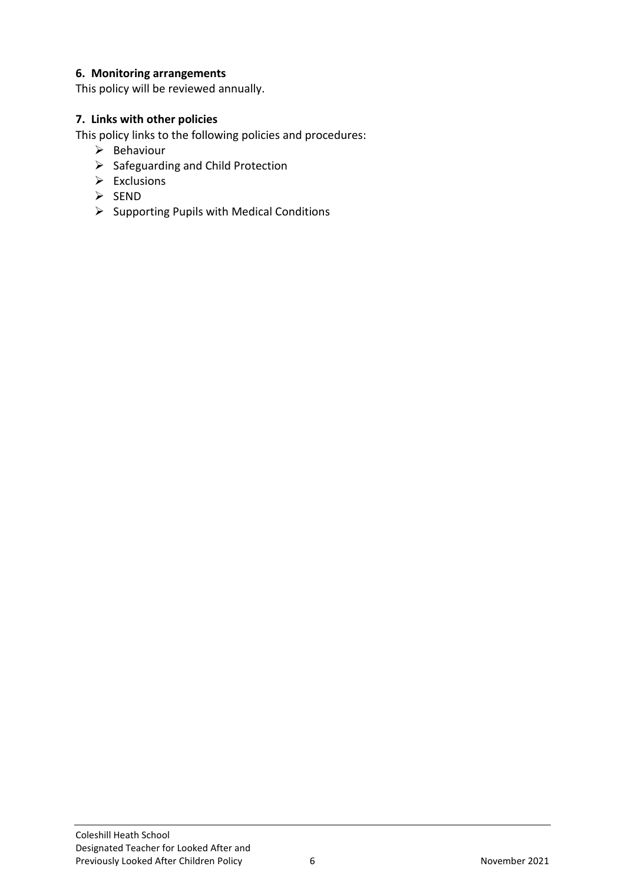#### **6. Monitoring arrangements**

This policy will be reviewed annually.

#### **7. Links with other policies**

This policy links to the following policies and procedures:

- ➢ Behaviour
- ➢ Safeguarding and Child Protection
- $\triangleright$  Exclusions
- ➢ SEND
- ➢ Supporting Pupils with Medical Conditions